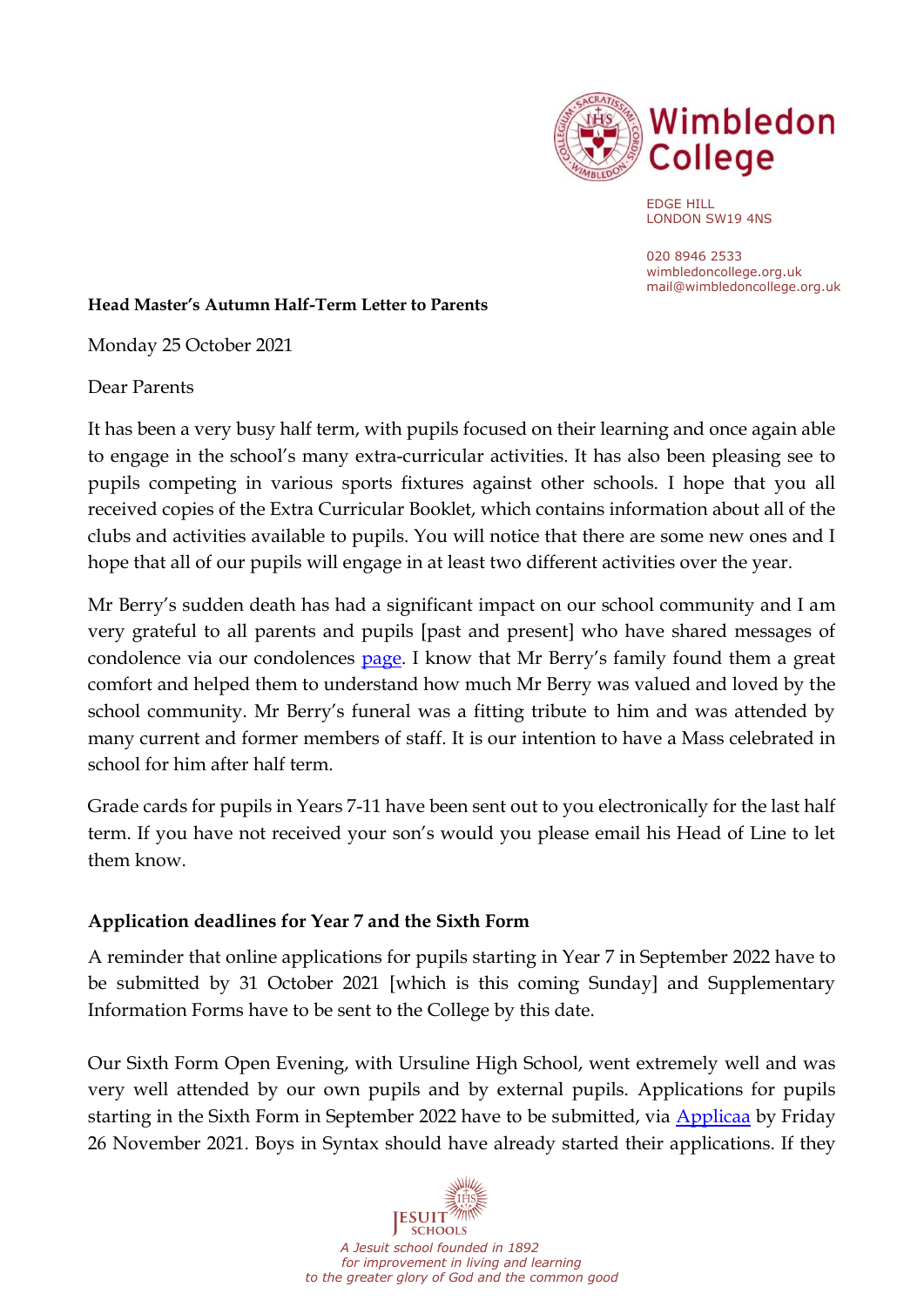

EDGE HILL LONDON SW19 4NS

020 8946 2533 wimbledoncollege.org.uk mail@wimbledoncollege.org.uk

#### **Head Master's Autumn Half-Term Letter to Parents**

Monday 25 October 2021

Dear Parents

It has been a very busy half term, with pupils focused on their learning and once again able to engage in the school's many extra-curricular activities. It has also been pleasing see to pupils competing in various sports fixtures against other schools. I hope that you all received copies of the Extra Curricular Booklet, which contains information about all of the clubs and activities available to pupils. You will notice that there are some new ones and I hope that all of our pupils will engage in at least two different activities over the year.

Mr Berry's sudden death has had a significant impact on our school community and I am very grateful to all parents and pupils [past and present] who have shared messages of condolence via our condolences [page](https://padlet.com/jpotter11315/vy8nx1m8yrzy6lgb). I know that Mr Berry's family found them a great comfort and helped them to understand how much Mr Berry was valued and loved by the school community. Mr Berry's funeral was a fitting tribute to him and was attended by many current and former members of staff. It is our intention to have a Mass celebrated in school for him after half term.

Grade cards for pupils in Years 7-11 have been sent out to you electronically for the last half term. If you have not received your son's would you please email his Head of Line to let them know.

### **Application deadlines for Year 7 and the Sixth Form**

A reminder that online applications for pupils starting in Year 7 in September 2022 have to be submitted by 31 October 2021 [which is this coming Sunday] and Supplementary Information Forms have to be sent to the College by this date.

Our Sixth Form Open Evening, with Ursuline High School, went extremely well and was very well attended by our own pupils and by external pupils. Applications for pupils starting in the Sixth Form in September 2022 have to be submitted, via [Applicaa](https://wimbledoncollege.applicaa.com/year12) by Friday 26 November 2021. Boys in Syntax should have already started their applications. If they

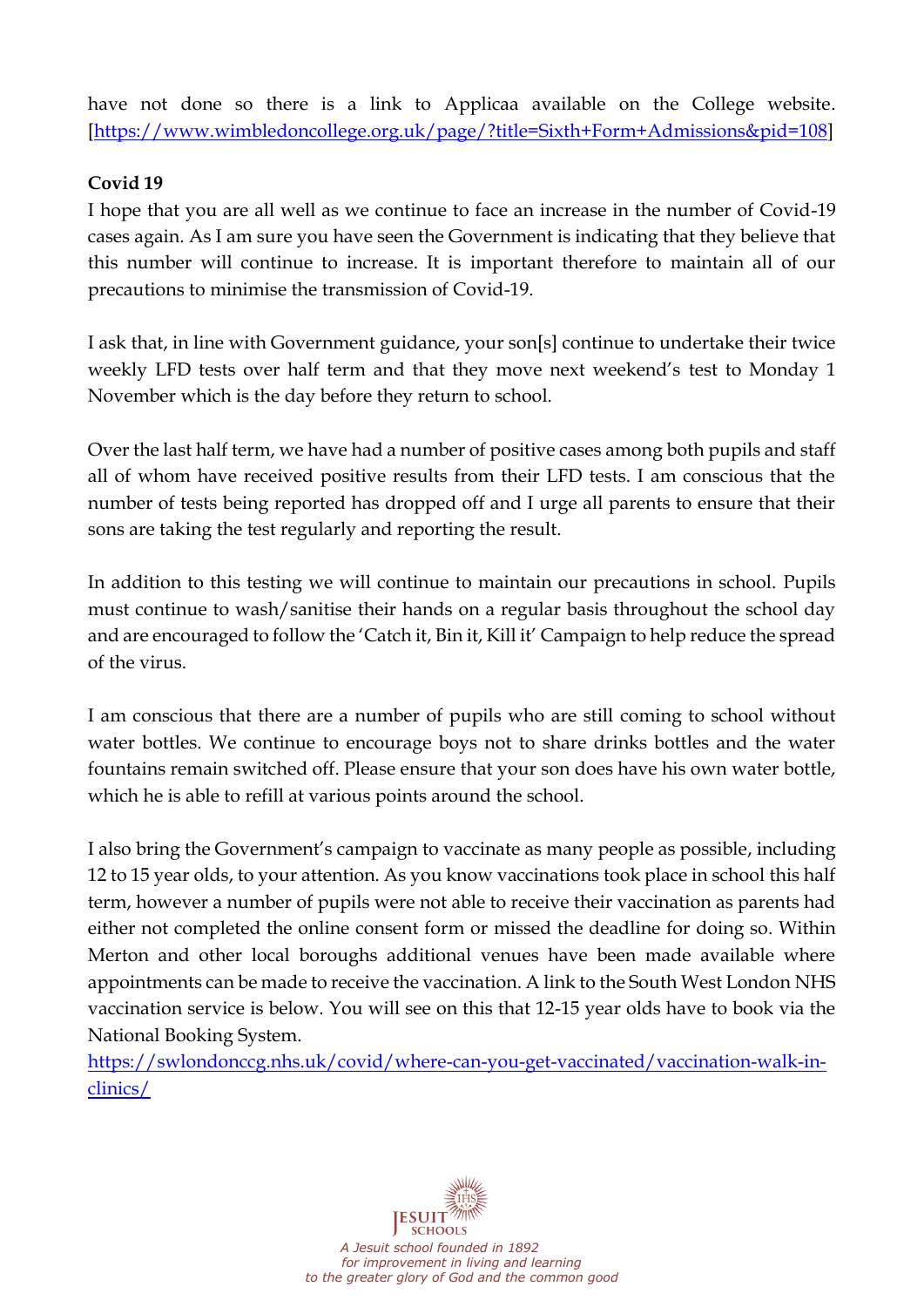have not done so there is a link to Applicaa available on the College website. [\[https://www.wimbledoncollege.org.uk/page/?title=Sixth+Form+Admissions&pid=108\]](https://www.wimbledoncollege.org.uk/page/?title=Sixth+Form+Admissions&pid=108)

## **Covid 19**

I hope that you are all well as we continue to face an increase in the number of Covid-19 cases again. As I am sure you have seen the Government is indicating that they believe that this number will continue to increase. It is important therefore to maintain all of our precautions to minimise the transmission of Covid-19.

I ask that, in line with Government guidance, your son[s] continue to undertake their twice weekly LFD tests over half term and that they move next weekend's test to Monday 1 November which is the day before they return to school.

Over the last half term, we have had a number of positive cases among both pupils and staff all of whom have received positive results from their LFD tests. I am conscious that the number of tests being reported has dropped off and I urge all parents to ensure that their sons are taking the test regularly and reporting the result.

In addition to this testing we will continue to maintain our precautions in school. Pupils must continue to wash/sanitise their hands on a regular basis throughout the school day and are encouraged to follow the 'Catch it, Bin it, Kill it' Campaign to help reduce the spread of the virus.

I am conscious that there are a number of pupils who are still coming to school without water bottles. We continue to encourage boys not to share drinks bottles and the water fountains remain switched off. Please ensure that your son does have his own water bottle, which he is able to refill at various points around the school.

I also bring the Government's campaign to vaccinate as many people as possible, including 12 to 15 year olds, to your attention. As you know vaccinations took place in school this half term, however a number of pupils were not able to receive their vaccination as parents had either not completed the online consent form or missed the deadline for doing so. Within Merton and other local boroughs additional venues have been made available where appointments can be made to receive the vaccination. A link to the South West London NHS vaccination service is below. You will see on this that 12-15 year olds have to book via the National Booking System.

[https://swlondonccg.nhs.uk/covid/where-can-you-get-vaccinated/vaccination-walk-in](https://swlondonccg.nhs.uk/covid/where-can-you-get-vaccinated/vaccination-walk-in-clinics/)[clinics/](https://swlondonccg.nhs.uk/covid/where-can-you-get-vaccinated/vaccination-walk-in-clinics/)

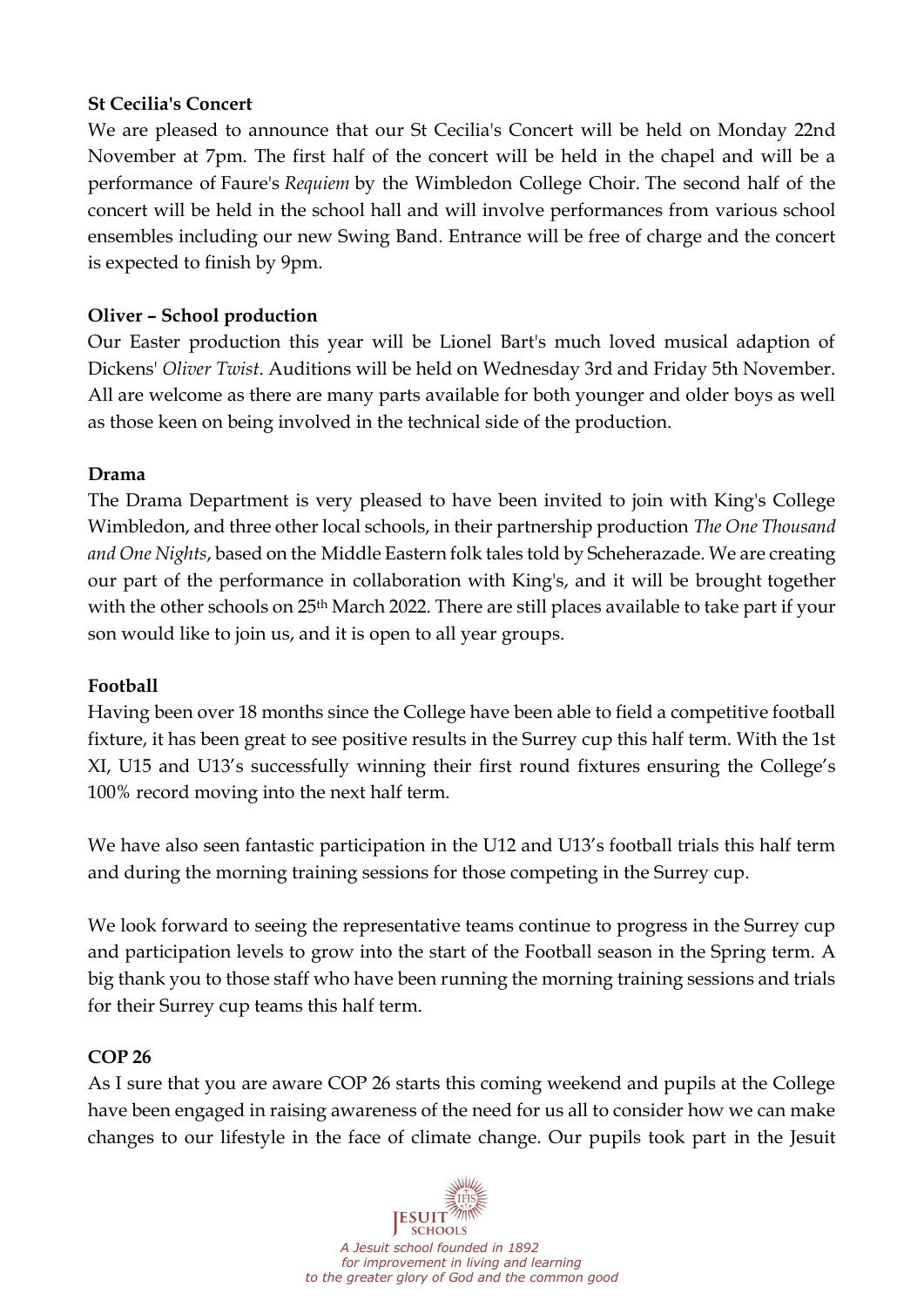## **St Cecilia's Concert**

We are pleased to announce that our St Cecilia's Concert will be held on Monday 22nd November at 7pm. The first half of the concert will be held in the chapel and will be a performance of Faure's *Requiem* by the Wimbledon College Choir*.* The second half of the concert will be held in the school hall and will involve performances from various school ensembles including our new Swing Band. Entrance will be free of charge and the concert is expected to finish by 9pm.

# **Oliver – School production**

Our Easter production this year will be Lionel Bart's much loved musical adaption of Dickens' *Oliver Twist*. Auditions will be held on Wednesday 3rd and Friday 5th November. All are welcome as there are many parts available for both younger and older boys as well as those keen on being involved in the technical side of the production.

### **Drama**

The Drama Department is very pleased to have been invited to join with King's College Wimbledon, and three other local schools, in their partnership production *The One Thousand and One Nights*, based on the Middle Eastern folk tales told by Scheherazade. We are creating our part of the performance in collaboration with King's, and it will be brought together with the other schools on 25th March 2022. There are still places available to take part if your son would like to join us, and it is open to all year groups.

### **Football**

Having been over 18 months since the College have been able to field a competitive football fixture, it has been great to see positive results in the Surrey cup this half term. With the 1st XI, U15 and U13's successfully winning their first round fixtures ensuring the College's 100% record moving into the next half term.

We have also seen fantastic participation in the U12 and U13's football trials this half term and during the morning training sessions for those competing in the Surrey cup.

We look forward to seeing the representative teams continue to progress in the Surrey cup and participation levels to grow into the start of the Football season in the Spring term. A big thank you to those staff who have been running the morning training sessions and trials for their Surrey cup teams this half term.

### **COP 26**

As I sure that you are aware COP 26 starts this coming weekend and pupils at the College have been engaged in raising awareness of the need for us all to consider how we can make changes to our lifestyle in the face of climate change. Our pupils took part in the Jesuit